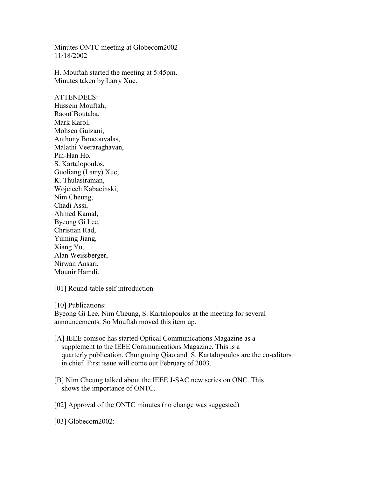Minutes ONTC meeting at Globecom2002 11/18/2002

H. Mouftah started the meeting at 5:45pm. Minutes taken by Larry Xue.

ATTENDEES: Hussein Mouftah, Raouf Boutaba, Mark Karol, Mohsen Guizani, Anthony Boucouvalas, Malathi Veeraraghavan, Pin-Han Ho, S. Kartalopoulos, Guoliang (Larry) Xue, K. Thulasiraman, Wojciech Kabacinski, Nim Cheung, Chadi Assi, Ahmed Kamal, Byeong Gi Lee, Christian Rad, Yuming Jiang, Xiang Yu, Alan Weissberger, Nirwan Ansari, Mounir Hamdi.

[01] Round-table self introduction

[10] Publications:

Byeong Gi Lee, Nim Cheung, S. Kartalopoulos at the meeting for several announcements. So Mouftah moved this item up.

- [A] IEEE comsoc has started Optical Communications Magazine as a supplement to the IEEE Communications Magazine. This is a quarterly publication. Chungming Qiao and S. Kartalopoulos are the co-editors in chief. First issue will come out February of 2003.
- [B] Nim Cheung talked about the IEEE J-SAC new series on ONC. This shows the importance of ONTC.

[02] Approval of the ONTC minutes (no change was suggested)

[03] Globecom2002: